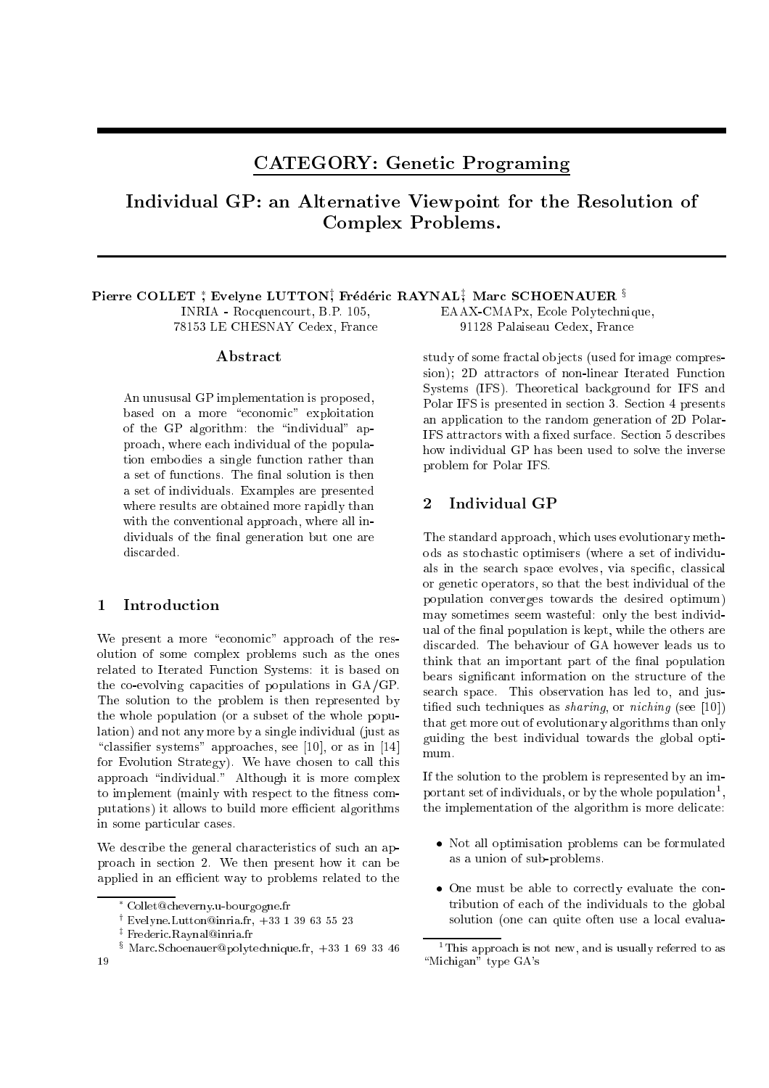# CATEGORY: Genetic Programing

Individual GP: an Alternative Viewpoint for the Resolution of Complex Problems.

#### PIERRE COLLET, EVELYNE LUTTON, FREGERIC RATINALI, MARC SUNOENAUER *»* INRIA - Rocquencourt, B.P. 105, 78153 LE CHESNAY Cedex, France EAAX-CMAPx, Ecole Polytechnique,

## **Abstract**

An unususal GP implementation is proposed, based on a more "economic" exploitation of the GP algorithm: the "individual" approach, where each individual of the population embodies a single function rather than a set of functions. The final solution is then a set of individuals. Examples are presented where results are obtained more rapidly than with the conventional approach, where all individuals of the final generation but one are discarded.

# 1 Introduction

We present a more "economic" approach of the resolution of some complex problems such as the ones related to Iterated Function Systems: it is based on the co-evolving capacities of populations in GA/GP. The solution to the problem is then represented by the whole population (or a subset of the whole population) and not any more by a single individual (just as "classifier systems" approaches, see [10], or as in [14] for Evolution Strategy). We have chosen to call this approach "individual." Although it is more complex to implement (mainly with respect to the fitness computations) it allows to build more efficient algorithms in some particular cases.

We describe the general characteristics of such an approach in section 2. We then present how it can be applied in an efficient way to problems related to the

91128 Palaiseau Cedex, France

study of some fractal objects (used for image compression); 2D attractors of non-linear Iterated Function Systems (IFS). Theoretical background for IFS and Polar IFS is presented in section 3. Section 4 presents an application to the random generation of 2D Polar-IFS attractors with a fixed surface. Section 5 describes how individual GP has been used to solve the inverse problem for Polar IFS.

#### $\overline{2}$ Individual GP

The standard approach, which uses evolutionary methods as stochastic optimisers (where a set of individuals in the search space evolves, via specific, classical or genetic operators, so that the best individual of the population converges towards the desired optimum) may sometimes seem wasteful: only the best individual of the final population is kept, while the others are discarded. The behaviour of GA however leads us to think that an important part of the final population bears signicant information on the structure of the search space. This observation has led to, and justified such techniques as *sharing*, or *niching* (see [10]) that get more out of evolutionary algorithms than only guiding the best individual towards the global optimum.

If the solution to the problem is represented by an important set of individuals, or by the whole population1 , the implementation of the algorithm is more delicate:

- Not all optimisation problems can be formulated as a union of sub-problems.
- One must be able to correctly evaluate the contribution of each of the individuals to the global solution (one can quite often use a local evalua-

Collet@cheverny.u-bourgogne.fr

<sup>&#</sup>x27;Evelyne.Lutton@inria.ir, +33 1 39 63 55 23

<sup>z</sup> Frederic.Raynal@inria.fr

<sup>x</sup> Marc.Schoenauer@polytechnique.fr, +33 1 69 33 46

<sup>1</sup> This approach is not new, and is usually referred to as "Michigan" type GA's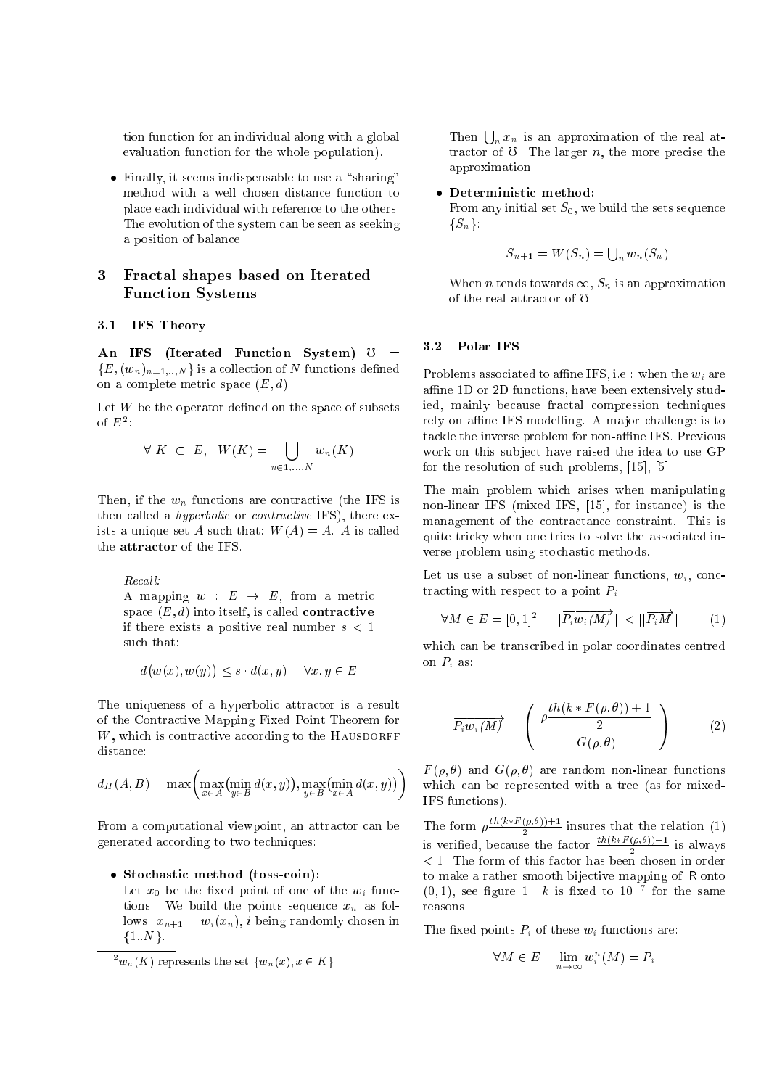tion function for an individual along with a global evaluation function for the whole population).

 Finally, it seems indispensable to use a \sharing" method with a well chosen distance function to place each individual with reference to the others. The evolution of the system can be seen as seeking a position of balance.

#### 3 3 Fractal shapes based on Iterated Function Systems

## 3.1 IFS Theory

An IFS (Iterated Function System)  $\mathbb{U}$  =  ${E, (w_n)_{n=1...N}}$  is a collection of N functions defined on a complete metric space  $(E, d)$ .

Let  $W$  be the operator defined on the space of subsets of  $E^2$ :

$$
\forall K \subset E, \ W(K) = \bigcup_{n \in 1, ..., N} w_n(K)
$$

Then, if the  $w_n$  functions are contractive (the IFS is then called a hyperbolic or contractive IFS), there exists a unique set A such that:  $W(A) = A$ . A is called the attractor of the IFS.

Recall:

A mapping  $w : E \rightarrow E$ , from a metric space  $(E, d)$  into itself, is called **contractive** if there exists a positive real number  $s < 1$ such that:

$$
d(w(x), w(y)) \le s \cdot d(x, y) \quad \forall x, y \in E
$$

The uniqueness of a hyperbolic attractor is a result of the Contractive Mapping Fixed Point Theorem for  $W$ , which is contractive according to the HAUSDORFF distance:

$$
d_H(A, B) = \max\left(\max_{x \in A} (\min_{y \in B} d(x, y)), \max_{y \in B} (\min_{x \in A} d(x, y))\right)
$$

From a computational viewpoint, an attractor can be generated according to two techniques:

### Stochastic method (toss-coin):

Let  $x_0$  be the fixed point of one of the  $w_i$  functions. We build the points sequence  $x_n$  as follows:  $x_{n+1} = w_i(x_n)$ , *i* being randomly chosen in  $\{1..N\}.$ 

Then  $\bigcup_n x_n$  is an approximation of the real attractor of  $\mathcal{C}$ . The larger n, the more precise the approximation.

From any initial set  $S_0$ , we build the sets sequence  $\{S_n\}$ :

$$
S_{n+1} = W(S_n) = \bigcup_n w_n(S_n)
$$

When *n* tends towards  $\infty$ ,  $S_n$  is an approximation of the real attractor of  $U$ .

## 3.2 Polar IFS

Problems associated to affine IFS, i.e.: when the  $w_i$  are affine 1D or 2D functions, have been extensively studied, mainly because fractal compression techniques rely on affine IFS modelling. A major challenge is to tackle the inverse problem for non-affine IFS. Previous work on this subject have raised the idea to use GP for the resolution of such problems, [15], [5].

The main problem which arises when manipulating non-linear IFS (mixed IFS, [15], for instance) is the management of the contractance constraint. This is quite tricky when one tries to solve the associated inverse problem using stochastic methods.

Let us use a subset of non-linear functions,  $w_i$ , conctracting with respect to a point  $P_i$ :

$$
\forall M \in E = [0, 1]^2 \quad ||\overrightarrow{P_i w_i(M)}|| < ||\overrightarrow{P_i M}|| \tag{1}
$$

which can be transcribed in polar coordinates centred on  $P_i$  as:

$$
\overrightarrow{P_i w_i(M)} = \begin{pmatrix} \rho \frac{th(k * F(\rho, \theta)) + 1}{2} \\ G(\rho, \theta) \end{pmatrix}
$$
 (2)

 $F(\rho, \theta)$  and  $G(\rho, \theta)$  are random non-linear functions which can be represented with a tree (as for mixed-IFS functions).

The form  $\rho \frac{1}{2}$  insures that the relation (1) is verified, because the factor  $\frac{th(k*F(\rho,\theta))+1}{2}$  is always <sup>2</sup> < 1. The form of this factor has been chosen in order to make a rather smooth bijective mapping of IR onto  $(0,1)$ , see figure 1. k is fixed to  $10^{-7}$  for the same reasons.

The fixed points  $P_i$  of these  $w_i$  functions are:

$$
\forall M \in E \quad \lim_{n \to \infty} w_i^n(M) = P_i
$$

 $2 w_n(K)$  represents the set  $\{w_n(x), x \in K\}$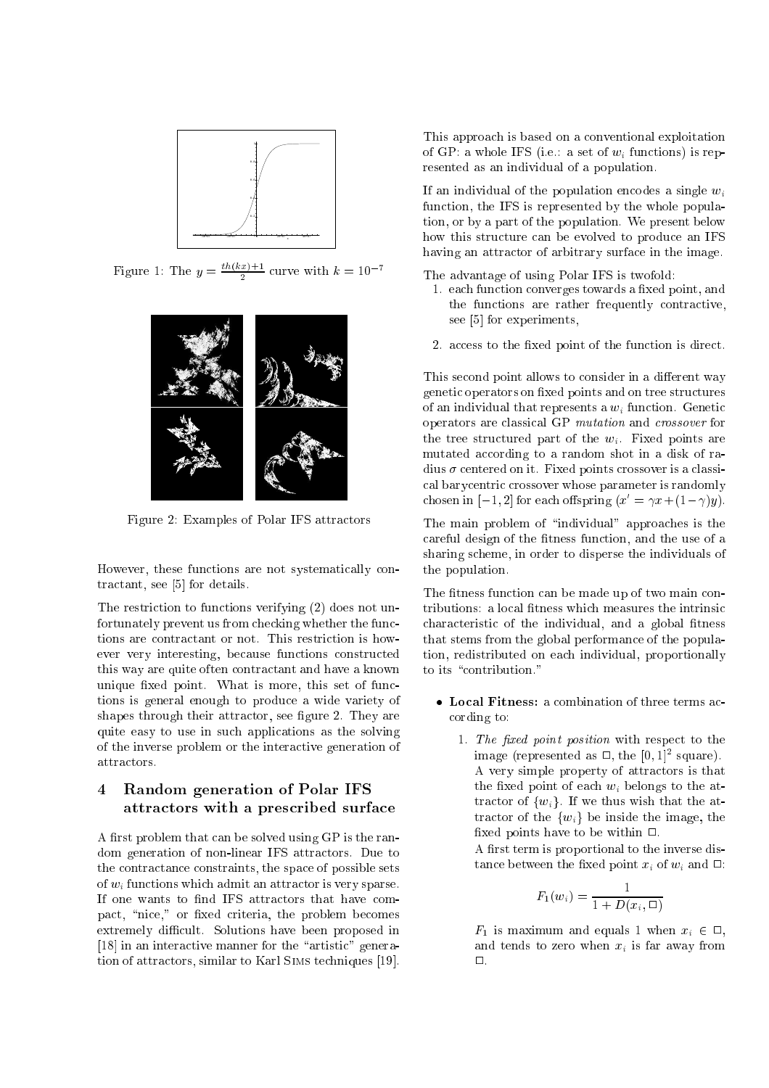

Figure 1: The  $y = \frac{ln(kx)+1}{2}$  curve with  $k = 10^{-7}$ 



Figure 2: Examples of Polar IFS attractors

However, these functions are not systematically contractant, see [5] for details.

The restriction to functions verifying (2) does not unfortunately prevent us from checking whether the functions are contractant or not. This restriction is however very interesting, because functions constructed this way are quite often contractant and have a known unique fixed point. What is more, this set of functions is general enough to produce a wide variety of shapes through their attractor, see figure 2. They are quite easy to use in such applications as the solving of the inverse problem or the interactive generation of attractors.

#### $\overline{4}$ Random generation of Polar IFS attractors with a prescribed surface

A first problem that can be solved using GP is the random generation of non-linear IFS attractors. Due to the contractance constraints, the space of possible sets of  $w_i$  functions which admit an attractor is very sparse. If one wants to find IFS attractors that have compact, "nice," or fixed criteria, the problem becomes extremely difficult. Solutions have been proposed in  $[18]$  in an interactive manner for the "artistic" generation of attractors, similar to Karl Sims techniques [19].

This approach is based on a conventional exploitation of GP: a whole IFS (i.e.: a set of  $w_i$  functions) is represented as an individual of a population.

If an individual of the population encodes a single  $w_i$ function, the IFS is represented by the whole population, or by a part of the population. We present below how this structure can be evolved to produce an IFS having an attractor of arbitrary surface in the image.

The advantage of using Polar IFS is twofold:

- 1. each function converges towards a fixed point, and the functions are rather frequently contractive, see [5] for experiments,
- 2. access to the fixed point of the function is direct.

This second point allows to consider in a different way genetic operators on fixed points and on tree structures of an individual that represents a  $w_i$  function. Genetic operators are classical GP mutation and crossover for the tree structured part of the  $w_i$ . Fixed points are mutated according to a random shot in a disk of radius  $\sigma$  centered on it. Fixed points crossover is a classical barycentric crossover whose parameter is randomly chosen in  $[-1, 2]$  for each offspring  $(x' = \gamma x + (1 - \gamma)y)$ .

The main problem of "individual" approaches is the careful design of the fitness function, and the use of a sharing scheme, in order to disperse the individuals of the population.

The fitness function can be made up of two main contributions: a local fitness which measures the intrinsic characteristic of the individual, and a global fitness that stems from the global performance of the population, redistributed on each individual, proportionally to its "contribution."

- cording to:
	- 1. The fixed point position with respect to the  $\max$ e (represented as  $\sqcup,$  the  $[0,1]^-$  square). A very simple property of attractors is that the fixed point of each  $w_i$  belongs to the attractor of  $\{w_i\}$ . If we thus wish that the attractor of the  $\{w_i\}$  be inside the image, the fixed points have to be within  $\Box$ .

A first term is proportional to the inverse distance between the fixed point  $x_i$  of  $w_i$  and  $\Box$ :

$$
F_1(w_i) = \frac{1}{1 + D(x_i, \Box)}
$$

 $F_1$  is maximum and equals 1 when  $x_i \in \Box$ , and tends to zero when  $x_i$  is far away from  $\Box$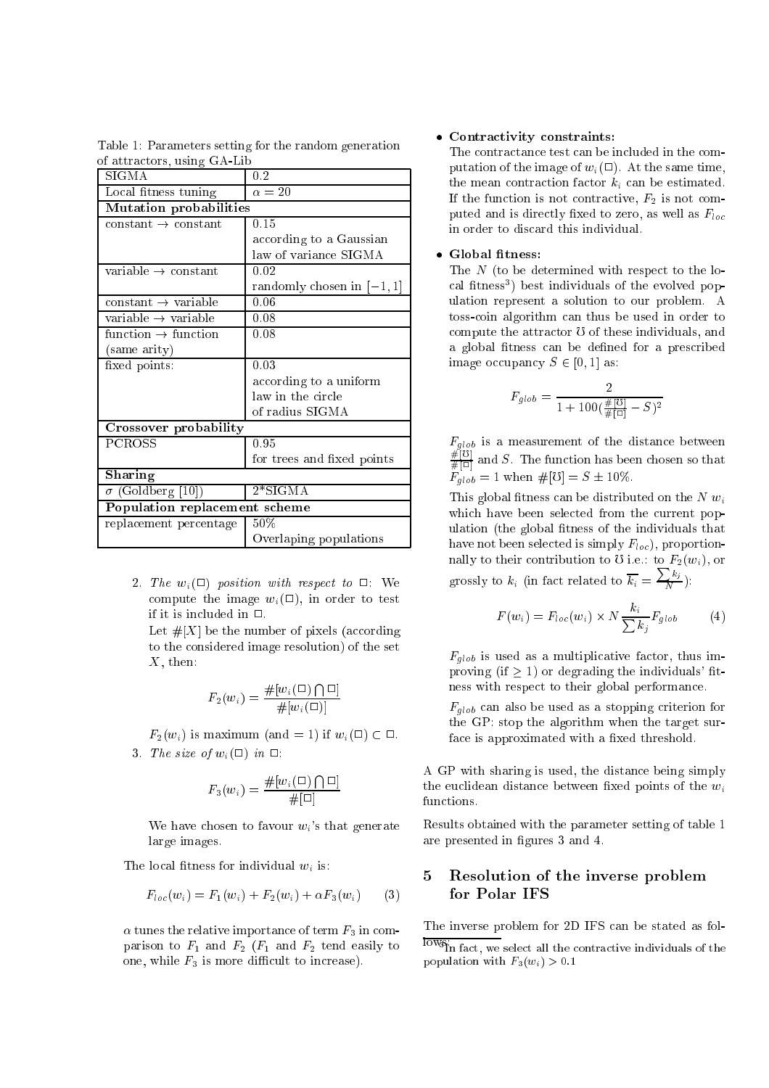Table 1: Parameters setting for the random generation of attractors, using GA-Lib

| SIGMA                           | 0.2                         |
|---------------------------------|-----------------------------|
| Local fitness tuning            | $\alpha=20$                 |
| <b>Mutation probabilities</b>   |                             |
| $constant \rightarrow constant$ | 0.15                        |
|                                 | according to a Gaussian     |
|                                 | law of variance SIGMA       |
| variable $\rightarrow$ constant | 0.02                        |
|                                 | randomly chosen in $[-1,1]$ |
| $constant \rightarrow variable$ | 0.06                        |
| variable $\rightarrow$ variable | 0.08                        |
| function $\rightarrow$ function | 0.08                        |
| (same arity)                    |                             |
| fixed points:                   | 0.03                        |
|                                 | according to a uniform      |
|                                 | law in the circle           |
|                                 | of radius SIGMA             |
| Crossover probability           |                             |
| PCROSS                          | 0.95                        |
|                                 | for trees and fixed points  |
| Sharing                         |                             |
| $\sigma$ (Goldberg [10])        | $2*SIGMA$                   |
| Population replacement scheme   |                             |
| replacement percentage          | 50%                         |
|                                 | Overlaping populations      |

2. The  $w_i(\square)$  position with respect to  $\square$ : We compute the image  $w_i(\square)$ , in order to test if it is included in  $\square$ .

Let  $\#[X]$  be the number of pixels (according to the considered image resolution) of the set  $X$ , then:

$$
F_2(w_i) = \frac{\#[w_i(\Box) \bigcap \Box]}{\#[w_i(\Box)]}
$$

 $F_2(w_i)$  is maximum (and = 1) if  $w_i(\square) \subset \square$ . 3. The size of  $w_i(\Box)$  in  $\Box$ :

$$
F_3(w_i) = \frac{\#[w_i(\Box) \bigcap \Box]}{\#[\Box]}
$$

We have chosen to favour  $w_i$ 's that generate large images.

The local fitness for individual  $w_i$  is:

$$
F_{loc}(w_i) = F_1(w_i) + F_2(w_i) + \alpha F_3(w_i)
$$
 (3)

 $\alpha$  tunes the relative importance of term  $F_3$  in comparison to  $F_1$  and  $F_2$  ( $F_1$  and  $F_2$  tend easily to one, while  $F_3$  is more difficult to increase).

## Contractivity constraints:

The contractance test can be included in the computation of the image of  $w_i(\square)$ . At the same time, the mean contraction factor  $k_i$  can be estimated. If the function is not contractive,  $F_2$  is not computed and is directly fixed to zero, as well as  $F_{loc}$ in order to discard this individual.

The  $N$  (to be determined with respect to the local inthess ) best individuals of the evolved population represent a solution to our problem. A toss-coin algorithm can thus be used in order to compute the attractor  $\sigma$  of these individuals, and a global fitness can be defined for a prescribed image occupancy  $S \in [0, 1]$  as:

$$
F_{glob} = \frac{2}{1 + 100(\frac{\#[0]}{\#[0]} - S)^2}
$$

 $F_{glob}$  is a measurement of the distance between  $\frac{\#[{\mathcal O}]}{\#[{\mathcal O}]}$  and S. The function has been chosen so that  $F_{alob} = 1$  when  $\#[0] = S \pm 10\%.$ 

This global fitness can be distributed on the  $N w_i$ which have been selected from the current population (the global fitness of the individuals that have not been selected is simply  $F_{loc}$ ), proportionnally to their contribution to U i.e.: to  $F_2(w_i)$ , or grossly to  $k_i$  (in fact related to  $\overline{k_i} = \frac{\sum k_j}{N}$ ):

$$
F(w_i) = F_{loc}(w_i) \times N \frac{k_i}{\sum k_j} F_{glob}
$$
 (4)

 $F_{glob}$  is used as a multiplicative factor, thus improving (if  $\geq$  1) or degrading the individuals' fitness with respect to their global performance.

 $F_{alob}$  can also be used as a stopping criterion for the GP: stop the algorithm when the target surface is approximated with a fixed threshold.

A GP with sharing is used, the distance being simply the euclidean distance between fixed points of the  $w_i$ functions.

Results obtained with the parameter setting of table 1 are presented in figures 3 and 4.

# 5 Resolution of the inverse problem for Polar IFS

The inverse problem for 2D IFS can be stated as fol-

If  $\alpha$  in fact, we select all the contractive individuals of the population with  $F_3(w_i) > 0.1$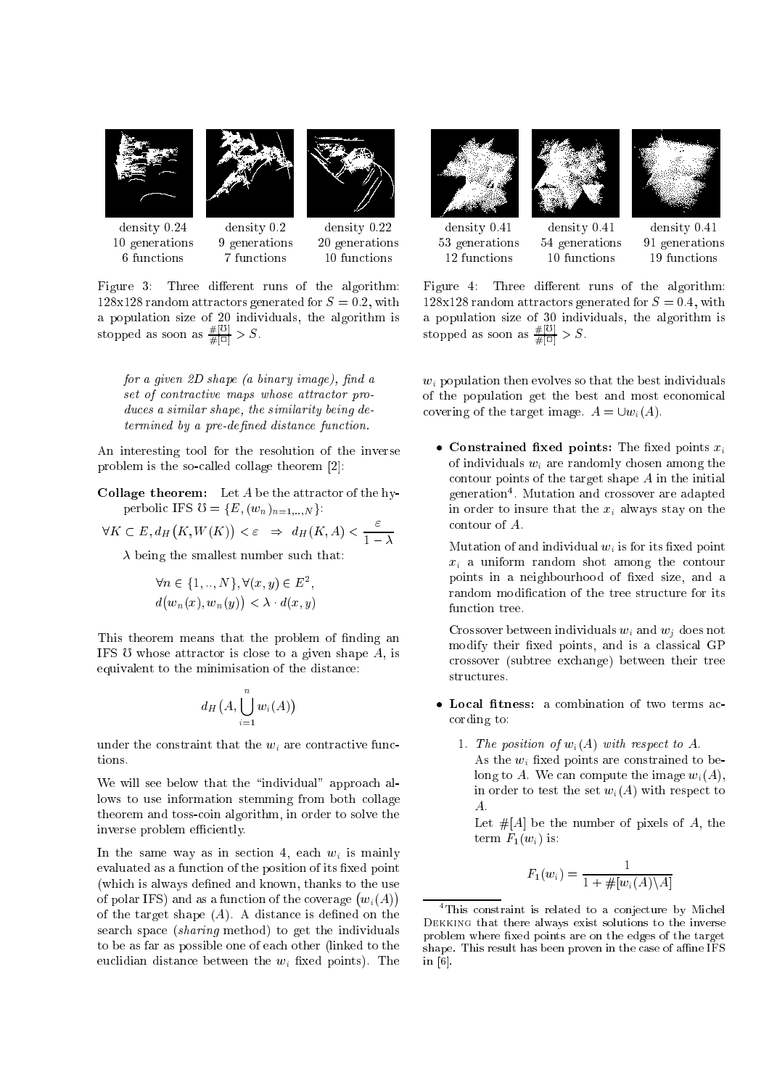

Figure 3: Three different runs of the algorithm: 128x128 random attractors generated for  $S = 0.2$ , with a population size of 20 individuals, the algorithm is stopped as soon as  $\frac{\#[0]}{\#[0]} > S$ .

for a given  $2D$  shape (a binary image), find a set of contractive maps whose attractor produces a similar shape, the similarity being de $termined$  by a pre-defined distance function.

An interesting tool for the resolution of the inverse problem is the so-called collage theorem [2]:

Collage theorem: Let A be the attractor of the hyperbolic IFS  $\mho = \{E, (w_n)_{n=1,\dots,N}\}$ :

$$
\forall K \subset E, d_H(K, W(K)) < \varepsilon \Rightarrow d_H(K, A) < \frac{\varepsilon}{1 - \lambda}
$$

 $\lambda$  being the smallest number such that:

$$
\forall n \in \{1, ..., N\}, \forall (x, y) \in E^2,
$$
  

$$
d(w_n(x), w_n(y)) < \lambda \cdot d(x, y)
$$

This theorem means that the problem of finding an IFS  $\sigma$  whose attractor is close to a given shape  $A$ , is equivalent to the minimisation of the distance:

$$
d_H\big(A,\bigcup_{i=1}^n w_i(A)\big)
$$

under the constraint that the  $w_i$  are contractive functions.

We will see below that the "individual" approach allows to use information stemming from both collage theorem and toss-coin algorithm, in order to solve the inverse problem efficiently.

In the same way as in section 4, each  $w_i$  is mainly evaluated as a function of the position of its fixed point (which is always defined and known, thanks to the use of polar IFS) and as a function of the coverage  $(w_i(A))$ of the target shape  $(A)$ . A distance is defined on the search space (sharing method) to get the individuals to be as far as possible one of each other (linked to the euclidian distance between the  $w_i$  fixed points). The







density 0.41 density 0.41 density 0.41

53 generations 54 generations 91 generations 12 functions 10 functions 19 functions

Figure 4: Three different runs of the algorithm:  $128x128$  random attractors generated for  $S = 0.4$ , with a population size of 30 individuals, the algorithm is stopped as soon as  $\frac{\#[0]}{\#[0]} > S$ .

 $w_i$  population then evolves so that the best individuals of the population get the best and most economical covering of the target image.  $A = \bigcup w_i(A)$ .

 $\bullet$  Constrained fixed points: The fixed points  $x_i$ of individuals  $w_i$  are randomly chosen among the contour points of the target shape A in the initial generation<sup>4</sup> . Mutation and crossover are adapted in order to insure that the  $x_i$  always stay on the contour of A.

Mutation of and individual  $w_i$  is for its fixed point  $x_i$  a uniform random shot among the contour points in a neighbourhood of fixed size, and a random modication of the tree structure for its function tree.

Crossover between individuals  $w_i$  and  $w_j$  does not modify their fixed points, and is a classical GP crossover (subtree exchange) between their tree structures.

- cording to:
	- 1. The position of  $w_i(A)$  with respect to A. As the  $w_i$  fixed points are constrained to belong to A. We can compute the image  $w_i(A)$ , in order to test the set  $w_i(A)$  with respect to A.

Let  $#[A]$  be the number of pixels of A, the term  $F_1(w_i)$  is:

$$
F_1(w_i) = \frac{1}{1 + \#[w_i(A) \setminus A]}
$$

<sup>4</sup> This constraint is related to a conjecture by Michel Dekking that there always exist solutions to the inverse problem where fixed points are on the edges of the target shape. This result has been proven in the case of affine IFS in [6].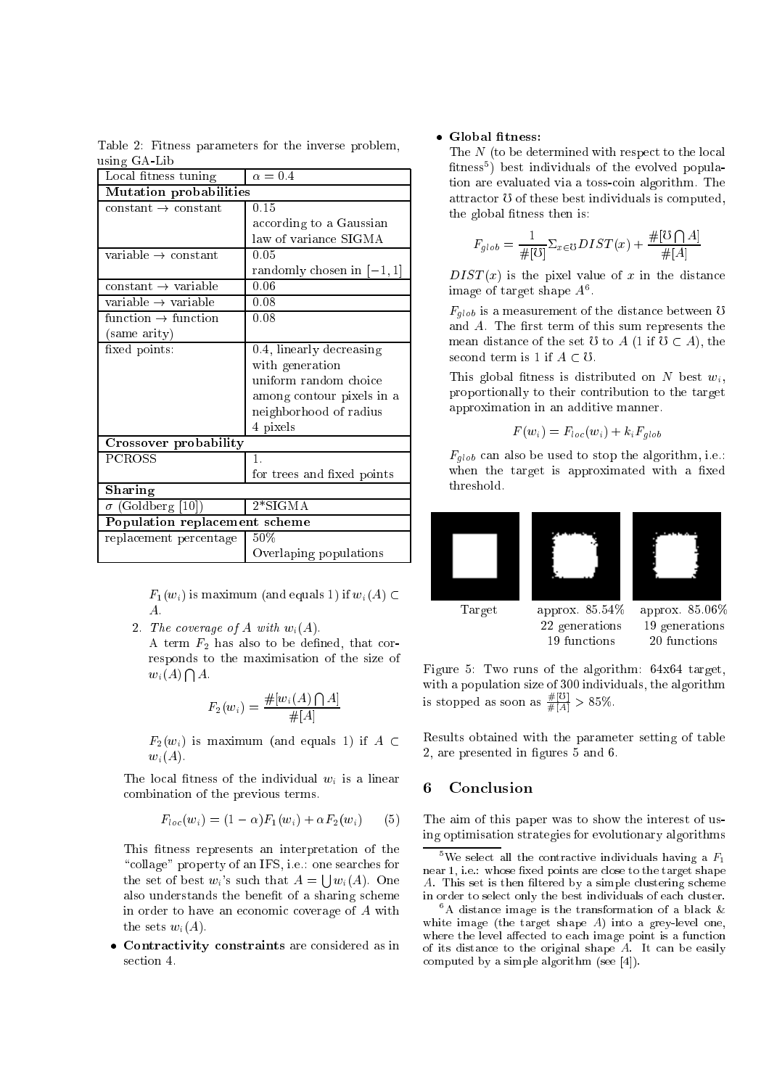Table 2: Fitness parameters for the inverse problem, using GA-Lib

| Local fitness tuning            | $\alpha = 0.4$                         |
|---------------------------------|----------------------------------------|
| Mutation probabilities          |                                        |
| $constant \rightarrow constant$ | 0.15                                   |
|                                 | according to a Gaussian                |
|                                 | law of variance SIGMA                  |
| variable $\rightarrow$ constant | 0.05                                   |
|                                 | randomly chosen in $[-1,1]$            |
| $constant \rightarrow variable$ | 0.06                                   |
| variable $\rightarrow$ variable | 0.08                                   |
| function $\rightarrow$ function | 0.08                                   |
| (same arity)                    |                                        |
| fixed points:                   | $\overline{0.4}$ , linearly decreasing |
|                                 | with generation                        |
|                                 | uniform random choice                  |
|                                 | among contour pixels in a              |
|                                 | neighborhood of radius                 |
|                                 | 4 pixels                               |
| Crossover probability           |                                        |
| <b>PCROSS</b>                   | $\mathbf{1}$ .                         |
|                                 | for trees and fixed points             |
| Sharing                         |                                        |
| $\sigma$ (Goldberg [10])        | $2*SIGMA$                              |
| Population replacement scheme   |                                        |
| replacement percentage          | $50\%$                                 |
|                                 | Overlaping populations                 |

 $F_1(w_i)$  is maximum (and equals 1) if  $w_i(A) \subset$ A.

2. The coverage of  $A$  with  $w_i(A)$ .

A term  $F_2$  has also to be defined, that corresponds to the maximisation of the size of  $w_i(A) \bigcap A$ .

$$
F_2(w_i) = \frac{\#[w_i(A) \bigcap A]}{\#[A]}
$$

 $F_2(w_i)$  is maximum (and equals 1) if  $A \subset$  $w_i(A)$ .

The local fitness of the individual  $w_i$  is a linear combination of the previous terms.

$$
F_{loc}(w_i) = (1 - \alpha)F_1(w_i) + \alpha F_2(w_i)
$$
 (5)

This fitness represents an interpretation of the "collage" property of an IFS, i.e.: one searches for the set of best  $w_i$ 's such that  $A = \bigcup w_i(A)$ . One also understands the benefit of a sharing scheme in order to have an economic coverage of A with the sets  $w_i(A)$ .

 Contractivity constraints are considered as in section 4.

## • Global fitness:

The N (to be determined with respect to the local tness<sup>5</sup> ) best individuals of the evolved population are evaluated via a toss-coin algorithm. The attractor  $\sigma$  of these best individuals is computed, the global fitness then is:

$$
F_{glob} = \frac{1}{\#[\mho]} \Sigma_{x \in \mho} DIST(x) + \frac{\#[\mho \bigcap A]}{\#[A]}
$$

 $DIST(x)$  is the pixel value of x in the distance image of target shape  $A^6$ .

 $F_{alob}$  is a measurement of the distance between  $\sigma$ and  $A$ . The first term of this sum represents the mean distance of the set U to A (1 if  $U \subset A$ ), the second term is 1 if  $A \subset \mathcal{O}$ .

This global fitness is distributed on N best  $w_i$ , proportionally to their contribution to the target approximation in an additive manner.

$$
F(w_i) = F_{loc}(w_i) + k_i F_{glob}
$$

 $F_{glob}$  can also be used to stop the algorithm, i.e.: when the target is approximated with a fixed threshold.



Figure 5: Two runs of the algorithm: 64x64 target, with a population size of 300 individuals, the algorithm is stopped as soon as  $\frac{\pi}{4|A|} > 85\%$ .

Results obtained with the parameter setting of table 2, are presented in figures 5 and 6.

# 6 Conclusion

The aim of this paper was to show the interest of using optimisation strategies for evolutionary algorithms

<sup>&</sup>lt;sup>5</sup>We select all the contractive individuals having a  $F_1$ near 1, i.e.: whose fixed points are close to the target shape A. This set is then filtered by a simple clustering scheme in order to select only the best individuals of each cluster.

 $\,$  A distance image is the transformation of a black  $\alpha$ white image (the target shape  $A$ ) into a grey-level one, where the level affected to each image point is a function of its distance to the original shape  $A$ . It can be easily computed by a simple algorithm (see [4]).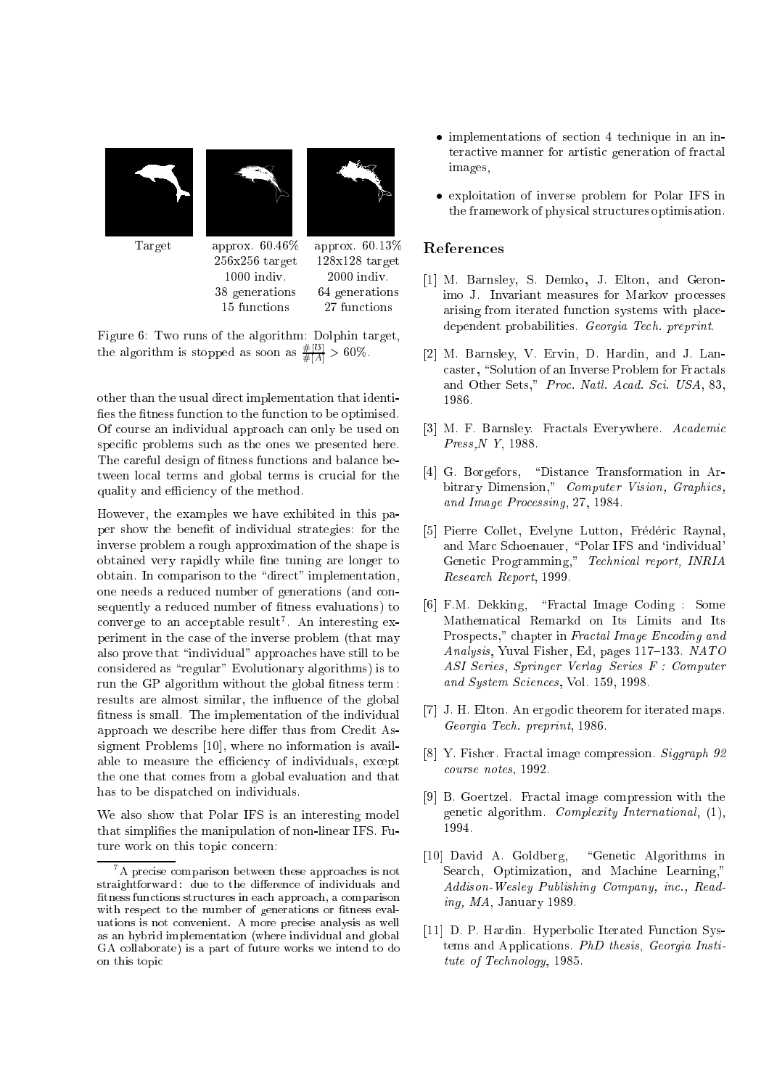





Target approx. 60.46% approx. 60.13% 256x256 target 128x128 target 1000 indiv. 2000 indiv. 38 generations 64 generations 15 functions 27 functions

Figure 6: Two runs of the algorithm: Dolphin target, the algorithm is stopped as soon as  $\frac{\pi}{\#|A|} > 60\%$ .

other than the usual direct implementation that identi fies the fitness function to the function to be optimised. Of course an individual approach can only be used on specic problems such as the ones we presented here. The careful design of fitness functions and balance between local terms and global terms is crucial for the quality and efficiency of the method.

However, the examples we have exhibited in this paper show the benet of individual strategies: for the inverse problem a rough approximation of the shape is obtained very rapidly while fine tuning are longer to obtain. In comparison to the "direct" implementation, one needs a reduced number of generations (and consequently a reduced number of fitness evaluations) to converge to an acceptable result7 . An interesting experiment in the case of the inverse problem (that may also prove that "individual" approaches have still to be considered as "regular" Evolutionary algorithms) is to run the GP algorithm without the global fitness term: results are almost similar, the influence of the global fitness is small. The implementation of the individual approach we describe here differ thus from Credit Assigment Problems [10], where no information is available to measure the efficiency of individuals, except the one that comes from a global evaluation and that has to be dispatched on individuals.

We also show that Polar IFS is an interesting model that simplies the manipulation of non-linear IFS. Future work on this topic concern:

- implementations of section 4 technique in an interactive manner for artistic generation of fractal images,
- exploitation of inverse problem for Polar IFS in the framework of physical structures optimisation.

# References

- [1] M. Barnsley, S. Demko, J. Elton, and Geronimo J. Invariant measures for Markov processes arising from iterated function systems with placedependent probabilities. Georgia Tech. preprint.
- [2] M. Barnsley, V. Ervin, D. Hardin, and J. Lancaster, "Solution of an Inverse Problem for Fractals and Other Sets," Proc. Natl. Acad. Sci. USA, 83, 1986.
- [3] M. F. Barnsley. Fractals Everywhere. Academic Press,N Y, 1988.
- [4] G. Borgefors, "Distance Transformation in Arbitrary Dimension," Computer Vision, Graphics, and Image Processing, 27, 1984.
- [5] Pierre Collet, Evelyne Lutton, Frédéric Raynal, and Marc Schoenauer, "Polar IFS and 'individual' Genetic Programming," Technical report, INRIA Research Report, 1999.
- [6] F.M. Dekking, "Fractal Image Coding : Some Mathematical Remarkd on Its Limits and Its Prospects," chapter in Fractal Image Encoding and Analysis, Yuval Fisher, Ed, pages  $117–133$ . NATO ASI Series, Springer Verlag Series F : Computer and System Sciences, Vol. 159, 1998.
- [7] J. H. Elton. An ergodic theorem for iterated maps. Georgia Tech. preprint, 1986.
- [8] Y. Fisher. Fractal image compression. Siggraph 92 course notes, 1992.
- [9] B. Goertzel. Fractal image compression with the genetic algorithm. Complexity International, (1), 1994.
- $[10]$  David A. Goldberg, "Genetic Algorithms in Search, Optimization, and Machine Learning," Addison-Wesley Publishing Company, inc., Reading, MA, January 1989.
- [11] D. P. Hardin. Hyperbolic Iterated Function Systems and Applications. PhD thesis, Georgia Institute of Technology, 1985.

<sup>7</sup> A precise comparison between these approaches is not straightforward: due to the difference of individuals and fitness functions structures in each approach, a comparison with respect to the number of generations or fitness evaluations is not convenient. A more precise analysis as well as an hybrid implementation (where individual and global GA collaborate) is a part of future works we intend to do on this topic